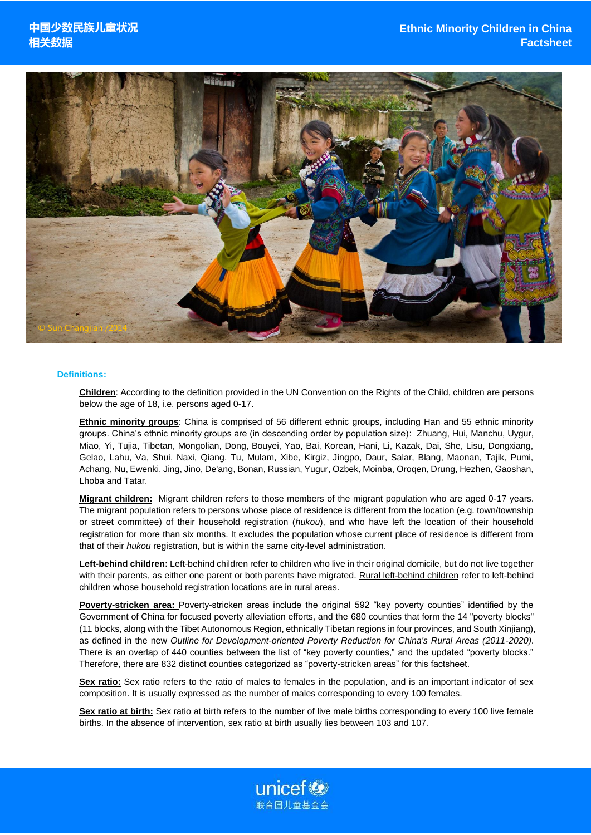

#### **Definitions:**

**Children**: According to the definition provided in the UN Convention on the Rights of the Child, children are persons below the age of 18, i.e. persons aged 0-17.

**Ethnic minority groups**: China is comprised of 56 different ethnic groups, including Han and 55 ethnic minority groups. China's ethnic minority groups are (in descending order by population size): Zhuang, Hui, Manchu, Uygur, Miao, Yi, Tujia, Tibetan, Mongolian, Dong, Bouyei, Yao, Bai, Korean, Hani, Li, Kazak, Dai, She, Lisu, Dongxiang, Gelao, Lahu, Va, Shui, Naxi, Qiang, Tu, Mulam, Xibe, Kirgiz, Jingpo, Daur, Salar, Blang, Maonan, Tajik, Pumi, Achang, Nu, Ewenki, Jing, Jino, De'ang, Bonan, Russian, Yugur, Ozbek, Moinba, Oroqen, Drung, Hezhen, Gaoshan, Lhoba and Tatar.

**Migrant children:** Migrant children refers to those members of the migrant population who are aged 0-17 years. The migrant population refers to persons whose place of residence is different from the location (e.g. town/township or street committee) of their household registration (*hukou*), and who have left the location of their household registration for more than six months. It excludes the population whose current place of residence is different from that of their *hukou* registration, but is within the same city-level administration.

**Left-behind children:** Left-behind children refer to children who live in their original domicile, but do not live together with their parents, as either one parent or both parents have migrated. Rural left-behind children refer to left-behind children whose household registration locations are in rural areas.

**Poverty-stricken area:** Poverty-stricken areas include the original 592 "key poverty counties" identified by the Government of China for focused poverty alleviation efforts, and the 680 counties that form the 14 "poverty blocks" (11 blocks, along with the Tibet Autonomous Region, ethnically Tibetan regions in four provinces, and South Xinjiang), as defined in the new *Outline for Development-oriented Poverty Reduction for China's Rural Areas (2011-2020)*. There is an overlap of 440 counties between the list of "key poverty counties," and the updated "poverty blocks." Therefore, there are 832 distinct counties categorized as "poverty-stricken areas" for this factsheet.

**Sex ratio:** Sex ratio refers to the ratio of males to females in the population, and is an important indicator of sex composition. It is usually expressed as the number of males corresponding to every 100 females.

**Sex ratio at birth:** Sex ratio at birth refers to the number of live male births corresponding to every 100 live female births. In the absence of intervention, sex ratio at birth usually lies between 103 and 107.

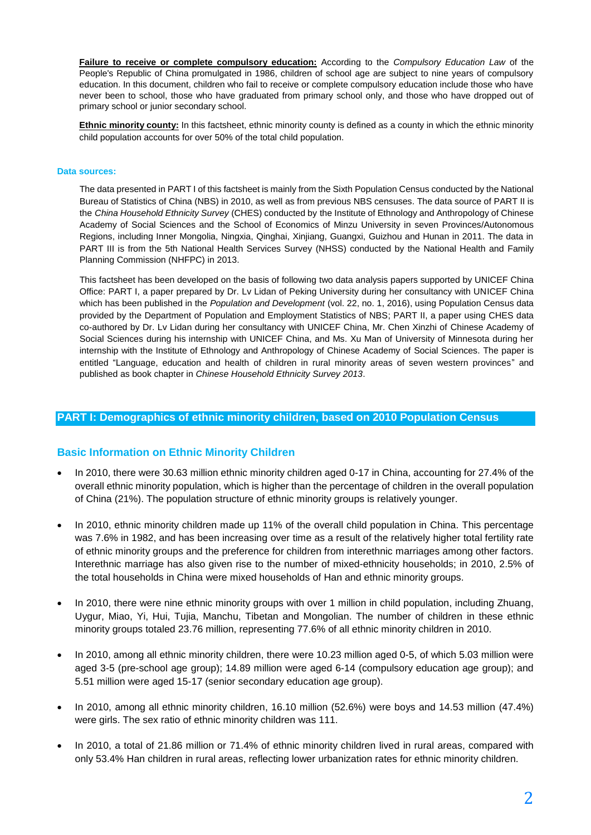**Failure to receive or complete compulsory education:** According to the *Compulsory Education Law* of the People's Republic of China promulgated in 1986, children of school age are subject to nine years of compulsory education. In this document, children who fail to receive or complete compulsory education include those who have never been to school, those who have graduated from primary school only, and those who have dropped out of primary school or junior secondary school.

**Ethnic minority county:** In this factsheet, ethnic minority county is defined as a county in which the ethnic minority child population accounts for over 50% of the total child population.

#### **Data sources:**

The data presented in PART I of this factsheet is mainly from the Sixth Population Census conducted by the National Bureau of Statistics of China (NBS) in 2010, as well as from previous NBS censuses. The data source of PART II is the *China Household Ethnicity Survey* (CHES) conducted by the Institute of Ethnology and Anthropology of Chinese Academy of Social Sciences and the School of Economics of Minzu University in seven Provinces/Autonomous Regions, including Inner Mongolia, Ningxia, Qinghai, Xinjiang, Guangxi, Guizhou and Hunan in 2011. The data in PART III is from the 5th National Health Services Survey (NHSS) conducted by the National Health and Family Planning Commission (NHFPC) in 2013.

This factsheet has been developed on the basis of following two data analysis papers supported by UNICEF China Office: PART I, a paper prepared by Dr. Lv Lidan of Peking University during her consultancy with UNICEF China which has been published in the *Population and Development* (vol. 22, no. 1, 2016), using Population Census data provided by the Department of Population and Employment Statistics of NBS; PART II, a paper using CHES data co-authored by Dr. Lv Lidan during her consultancy with UNICEF China, Mr. Chen Xinzhi of Chinese Academy of Social Sciences during his internship with UNICEF China, and Ms. Xu Man of University of Minnesota during her internship with the Institute of Ethnology and Anthropology of Chinese Academy of Social Sciences. The paper is entitled "Language, education and health of children in rural minority areas of seven western provinces" and published as book chapter in *Chinese Household Ethnicity Survey 2013*.

#### **PART I: Demographics of ethnic minority children, based on 2010 Population Census**

#### **Basic Information on Ethnic Minority Children**

- In 2010, there were 30.63 million ethnic minority children aged 0-17 in China, accounting for 27.4% of the overall ethnic minority population, which is higher than the percentage of children in the overall population of China (21%). The population structure of ethnic minority groups is relatively younger.
- In 2010, ethnic minority children made up 11% of the overall child population in China. This percentage was 7.6% in 1982, and has been increasing over time as a result of the relatively higher total fertility rate of ethnic minority groups and the preference for children from interethnic marriages among other factors. Interethnic marriage has also given rise to the number of mixed-ethnicity households; in 2010, 2.5% of the total households in China were mixed households of Han and ethnic minority groups.
- In 2010, there were nine ethnic minority groups with over 1 million in child population, including Zhuang, Uygur, Miao, Yi, Hui, Tujia, Manchu, Tibetan and Mongolian. The number of children in these ethnic minority groups totaled 23.76 million, representing 77.6% of all ethnic minority children in 2010.
- In 2010, among all ethnic minority children, there were 10.23 million aged 0-5, of which 5.03 million were aged 3-5 (pre-school age group); 14.89 million were aged 6-14 (compulsory education age group); and 5.51 million were aged 15-17 (senior secondary education age group).
- In 2010, among all ethnic minority children, 16.10 million (52.6%) were boys and 14.53 million (47.4%) were girls. The sex ratio of ethnic minority children was 111.
- In 2010, a total of 21.86 million or 71.4% of ethnic minority children lived in rural areas, compared with only 53.4% Han children in rural areas, reflecting lower urbanization rates for ethnic minority children.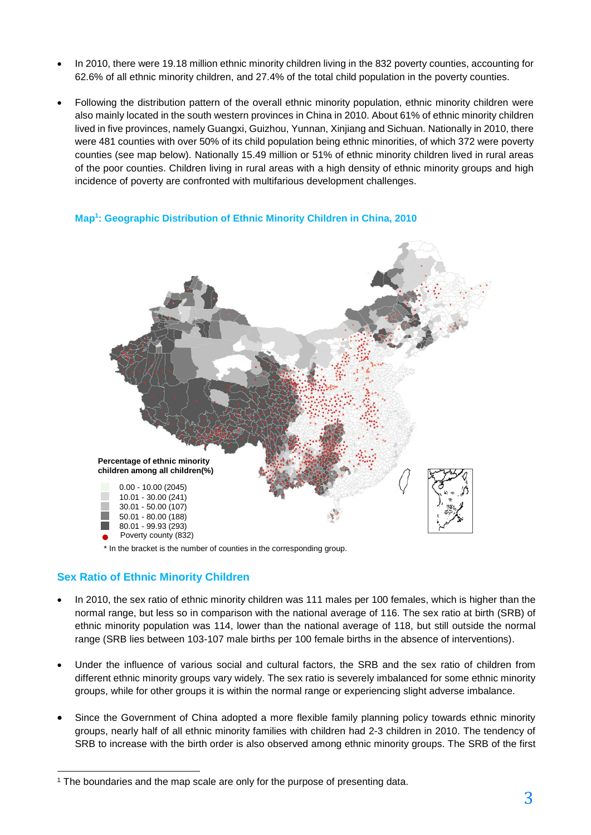- In 2010, there were 19.18 million ethnic minority children living in the 832 poverty counties, accounting for 62.6% of all ethnic minority children, and 27.4% of the total child population in the poverty counties.
- Following the distribution pattern of the overall ethnic minority population, ethnic minority children were also mainly located in the south western provinces in China in 2010. About 61% of ethnic minority children lived in five provinces, namely Guangxi, Guizhou, Yunnan, Xinjiang and Sichuan. Nationally in 2010, there were 481 counties with over 50% of its child population being ethnic minorities, of which 372 were poverty counties (see map below). Nationally 15.49 million or 51% of ethnic minority children lived in rural areas of the poor counties. Children living in rural areas with a high density of ethnic minority groups and high incidence of poverty are confronted with multifarious development challenges.

#### **Map<sup>1</sup> : Geographic Distribution of Ethnic Minority Children in China, 2010**



\* In the bracket is the number of counties in the corresponding group.

### **Sex Ratio of Ethnic Minority Children**

 $\overline{a}$ 

- In 2010, the sex ratio of ethnic minority children was 111 males per 100 females, which is higher than the normal range, but less so in comparison with the national average of 116. The sex ratio at birth (SRB) of ethnic minority population was 114, lower than the national average of 118, but still outside the normal range (SRB lies between 103-107 male births per 100 female births in the absence of interventions).
- Under the influence of various social and cultural factors, the SRB and the sex ratio of children from different ethnic minority groups vary widely. The sex ratio is severely imbalanced for some ethnic minority groups, while for other groups it is within the normal range or experiencing slight adverse imbalance.
- Since the Government of China adopted a more flexible family planning policy towards ethnic minority groups, nearly half of all ethnic minority families with children had 2-3 children in 2010. The tendency of SRB to increase with the birth order is also observed among ethnic minority groups. The SRB of the first

<sup>1</sup> The boundaries and the map scale are only for the purpose of presenting data.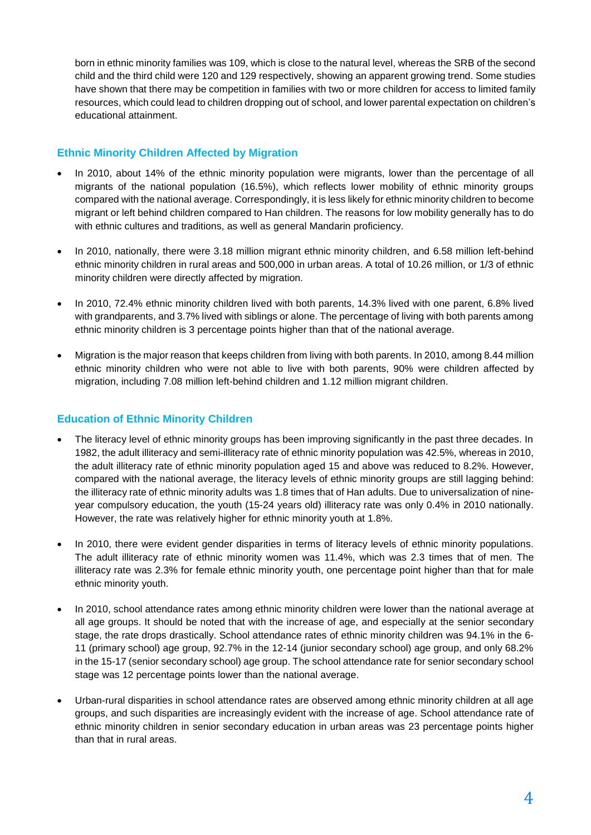born in ethnic minority families was 109, which is close to the natural level, whereas the SRB of the second child and the third child were 120 and 129 respectively, showing an apparent growing trend. Some studies have shown that there may be competition in families with two or more children for access to limited family resources, which could lead to children dropping out of school, and lower parental expectation on children's educational attainment.

# **Ethnic Minority Children Affected by Migration**

- In 2010, about 14% of the ethnic minority population were migrants, lower than the percentage of all migrants of the national population (16.5%), which reflects lower mobility of ethnic minority groups compared with the national average. Correspondingly, it is less likely for ethnic minority children to become migrant or left behind children compared to Han children. The reasons for low mobility generally has to do with ethnic cultures and traditions, as well as general Mandarin proficiency.
- In 2010, nationally, there were 3.18 million migrant ethnic minority children, and 6.58 million left-behind ethnic minority children in rural areas and 500,000 in urban areas. A total of 10.26 million, or 1/3 of ethnic minority children were directly affected by migration.
- In 2010, 72.4% ethnic minority children lived with both parents, 14.3% lived with one parent, 6.8% lived with grandparents, and 3.7% lived with siblings or alone. The percentage of living with both parents among ethnic minority children is 3 percentage points higher than that of the national average.
- Migration is the major reason that keeps children from living with both parents. In 2010, among 8.44 million ethnic minority children who were not able to live with both parents, 90% were children affected by migration, including 7.08 million left-behind children and 1.12 million migrant children.

## **Education of Ethnic Minority Children**

- The literacy level of ethnic minority groups has been improving significantly in the past three decades. In 1982, the adult illiteracy and semi-illiteracy rate of ethnic minority population was 42.5%, whereas in 2010, the adult illiteracy rate of ethnic minority population aged 15 and above was reduced to 8.2%. However, compared with the national average, the literacy levels of ethnic minority groups are still lagging behind: the illiteracy rate of ethnic minority adults was 1.8 times that of Han adults. Due to universalization of nineyear compulsory education, the youth (15-24 years old) illiteracy rate was only 0.4% in 2010 nationally. However, the rate was relatively higher for ethnic minority youth at 1.8%.
- In 2010, there were evident gender disparities in terms of literacy levels of ethnic minority populations. The adult illiteracy rate of ethnic minority women was 11.4%, which was 2.3 times that of men. The illiteracy rate was 2.3% for female ethnic minority youth, one percentage point higher than that for male ethnic minority youth.
- In 2010, school attendance rates among ethnic minority children were lower than the national average at all age groups. It should be noted that with the increase of age, and especially at the senior secondary stage, the rate drops drastically. School attendance rates of ethnic minority children was 94.1% in the 6- 11 (primary school) age group, 92.7% in the 12-14 (junior secondary school) age group, and only 68.2% in the 15-17 (senior secondary school) age group. The school attendance rate for senior secondary school stage was 12 percentage points lower than the national average.
- Urban-rural disparities in school attendance rates are observed among ethnic minority children at all age groups, and such disparities are increasingly evident with the increase of age. School attendance rate of ethnic minority children in senior secondary education in urban areas was 23 percentage points higher than that in rural areas.

4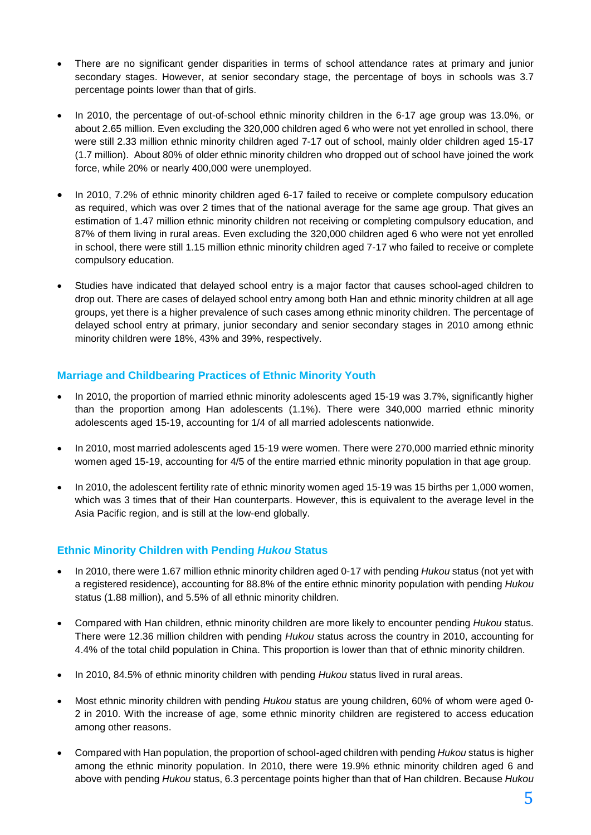- There are no significant gender disparities in terms of school attendance rates at primary and junior secondary stages. However, at senior secondary stage, the percentage of boys in schools was 3.7 percentage points lower than that of girls.
- In 2010, the percentage of out-of-school ethnic minority children in the 6-17 age group was 13.0%, or about 2.65 million. Even excluding the 320,000 children aged 6 who were not yet enrolled in school, there were still 2.33 million ethnic minority children aged 7-17 out of school, mainly older children aged 15-17 (1.7 million). About 80% of older ethnic minority children who dropped out of school have joined the work force, while 20% or nearly 400,000 were unemployed.
- In 2010, 7.2% of ethnic minority children aged 6-17 failed to receive or complete compulsory education as required, which was over 2 times that of the national average for the same age group. That gives an estimation of 1.47 million ethnic minority children not receiving or completing compulsory education, and 87% of them living in rural areas. Even excluding the 320,000 children aged 6 who were not yet enrolled in school, there were still 1.15 million ethnic minority children aged 7-17 who failed to receive or complete compulsory education.
- Studies have indicated that delayed school entry is a major factor that causes school-aged children to drop out. There are cases of delayed school entry among both Han and ethnic minority children at all age groups, yet there is a higher prevalence of such cases among ethnic minority children. The percentage of delayed school entry at primary, junior secondary and senior secondary stages in 2010 among ethnic minority children were 18%, 43% and 39%, respectively.

# **Marriage and Childbearing Practices of Ethnic Minority Youth**

- In 2010, the proportion of married ethnic minority adolescents aged 15-19 was 3.7%, significantly higher than the proportion among Han adolescents (1.1%). There were 340,000 married ethnic minority adolescents aged 15-19, accounting for 1/4 of all married adolescents nationwide.
- In 2010, most married adolescents aged 15-19 were women. There were 270,000 married ethnic minority women aged 15-19, accounting for 4/5 of the entire married ethnic minority population in that age group.
- In 2010, the adolescent fertility rate of ethnic minority women aged 15-19 was 15 births per 1,000 women, which was 3 times that of their Han counterparts. However, this is equivalent to the average level in the Asia Pacific region, and is still at the low-end globally.

### **Ethnic Minority Children with Pending** *Hukou* **Status**

- In 2010, there were 1.67 million ethnic minority children aged 0-17 with pending *Hukou* status (not yet with a registered residence), accounting for 88.8% of the entire ethnic minority population with pending *Hukou* status (1.88 million), and 5.5% of all ethnic minority children.
- Compared with Han children, ethnic minority children are more likely to encounter pending *Hukou* status. There were 12.36 million children with pending *Hukou* status across the country in 2010, accounting for 4.4% of the total child population in China. This proportion is lower than that of ethnic minority children.
- In 2010, 84.5% of ethnic minority children with pending *Hukou* status lived in rural areas.
- Most ethnic minority children with pending *Hukou* status are young children, 60% of whom were aged 0- 2 in 2010. With the increase of age, some ethnic minority children are registered to access education among other reasons.
- Compared with Han population, the proportion of school-aged children with pending *Hukou* status is higher among the ethnic minority population. In 2010, there were 19.9% ethnic minority children aged 6 and above with pending *Hukou* status, 6.3 percentage points higher than that of Han children. Because *Hukou*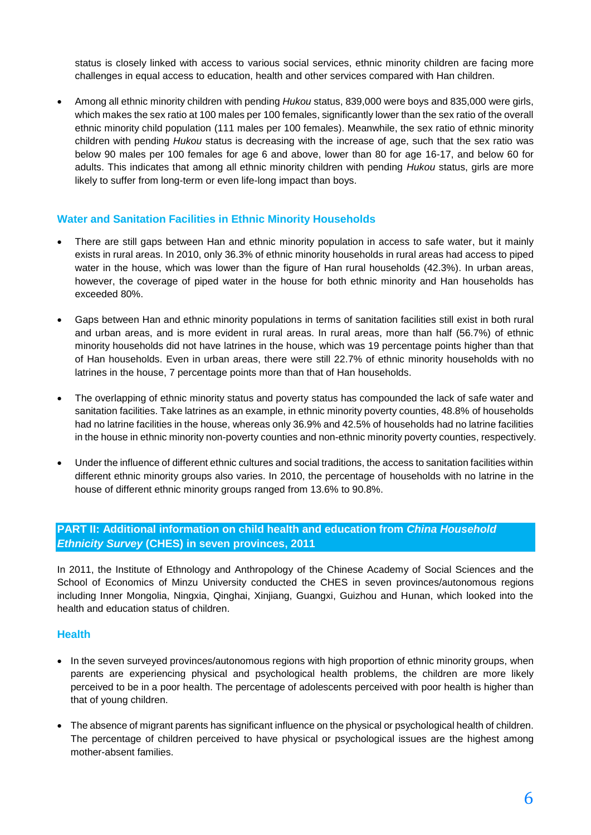status is closely linked with access to various social services, ethnic minority children are facing more challenges in equal access to education, health and other services compared with Han children.

 Among all ethnic minority children with pending *Hukou* status, 839,000 were boys and 835,000 were girls, which makes the sex ratio at 100 males per 100 females, significantly lower than the sex ratio of the overall ethnic minority child population (111 males per 100 females). Meanwhile, the sex ratio of ethnic minority children with pending *Hukou* status is decreasing with the increase of age, such that the sex ratio was below 90 males per 100 females for age 6 and above, lower than 80 for age 16-17, and below 60 for adults. This indicates that among all ethnic minority children with pending *Hukou* status, girls are more likely to suffer from long-term or even life-long impact than boys.

#### **Water and Sanitation Facilities in Ethnic Minority Households**

- There are still gaps between Han and ethnic minority population in access to safe water, but it mainly exists in rural areas. In 2010, only 36.3% of ethnic minority households in rural areas had access to piped water in the house, which was lower than the figure of Han rural households (42.3%). In urban areas, however, the coverage of piped water in the house for both ethnic minority and Han households has exceeded 80%.
- Gaps between Han and ethnic minority populations in terms of sanitation facilities still exist in both rural and urban areas, and is more evident in rural areas. In rural areas, more than half (56.7%) of ethnic minority households did not have latrines in the house, which was 19 percentage points higher than that of Han households. Even in urban areas, there were still 22.7% of ethnic minority households with no latrines in the house, 7 percentage points more than that of Han households.
- The overlapping of ethnic minority status and poverty status has compounded the lack of safe water and sanitation facilities. Take latrines as an example, in ethnic minority poverty counties, 48.8% of households had no latrine facilities in the house, whereas only 36.9% and 42.5% of households had no latrine facilities in the house in ethnic minority non-poverty counties and non-ethnic minority poverty counties, respectively.
- Under the influence of different ethnic cultures and social traditions, the access to sanitation facilities within different ethnic minority groups also varies. In 2010, the percentage of households with no latrine in the house of different ethnic minority groups ranged from 13.6% to 90.8%.

# **PART II: Additional information on child health and education from** *China Household Ethnicity Survey* **(CHES) in seven provinces, 2011**

In 2011, the Institute of Ethnology and Anthropology of the Chinese Academy of Social Sciences and the School of Economics of Minzu University conducted the CHES in seven provinces/autonomous regions including Inner Mongolia, Ningxia, Qinghai, Xinjiang, Guangxi, Guizhou and Hunan, which looked into the health and education status of children.

#### **Health**

- In the seven surveyed provinces/autonomous regions with high proportion of ethnic minority groups, when parents are experiencing physical and psychological health problems, the children are more likely perceived to be in a poor health. The percentage of adolescents perceived with poor health is higher than that of young children.
- The absence of migrant parents has significant influence on the physical or psychological health of children. The percentage of children perceived to have physical or psychological issues are the highest among mother-absent families.